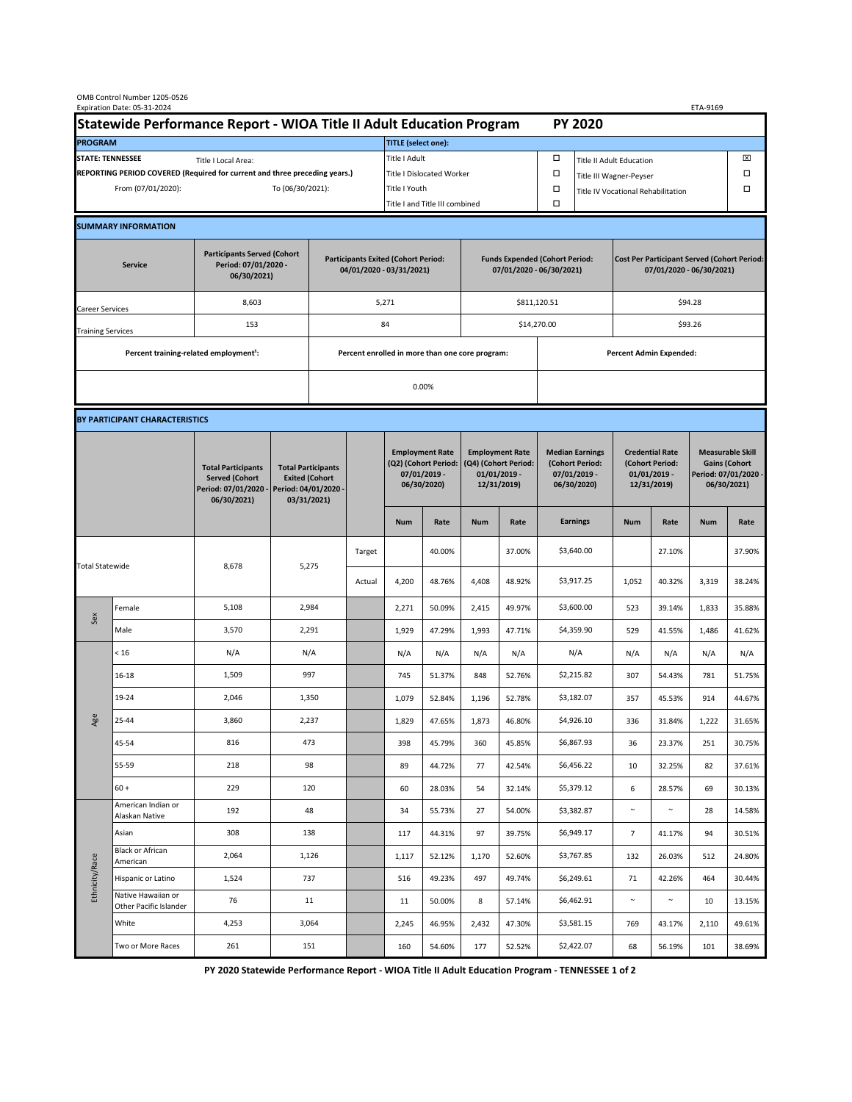| OMB Control Number 1205-0526<br>Expiration Date: 05-31-2024<br>ETA-9169                     |                                                    |                                                                                           |                                                                                           |                                                                        |        |                                                                               |                                |                                                                                 |                  |                                                                            |                                    |                                                                                |                  |                                                                                        |                  |  |
|---------------------------------------------------------------------------------------------|----------------------------------------------------|-------------------------------------------------------------------------------------------|-------------------------------------------------------------------------------------------|------------------------------------------------------------------------|--------|-------------------------------------------------------------------------------|--------------------------------|---------------------------------------------------------------------------------|------------------|----------------------------------------------------------------------------|------------------------------------|--------------------------------------------------------------------------------|------------------|----------------------------------------------------------------------------------------|------------------|--|
| Statewide Performance Report - WIOA Title II Adult Education Program                        |                                                    |                                                                                           |                                                                                           |                                                                        |        |                                                                               |                                |                                                                                 |                  |                                                                            | <b>PY 2020</b>                     |                                                                                |                  |                                                                                        |                  |  |
| <b>PROGRAM</b>                                                                              |                                                    |                                                                                           |                                                                                           |                                                                        |        |                                                                               | <b>TITLE</b> (select one):     |                                                                                 |                  |                                                                            |                                    |                                                                                |                  |                                                                                        |                  |  |
| <b>STATE: TENNESSEE</b><br>Title I Local Area:                                              |                                                    |                                                                                           |                                                                                           |                                                                        |        | Title I Adult                                                                 |                                |                                                                                 |                  | □<br><b>Title II Adult Education</b>                                       |                                    |                                                                                |                  |                                                                                        | ⊠                |  |
| REPORTING PERIOD COVERED (Required for current and three preceding years.)                  |                                                    |                                                                                           |                                                                                           |                                                                        |        | Title I Dislocated Worker                                                     |                                |                                                                                 |                  | Ω                                                                          | □<br>Title III Wagner-Peyser       |                                                                                |                  |                                                                                        |                  |  |
| From (07/01/2020):                                                                          |                                                    |                                                                                           | To (06/30/2021):                                                                          |                                                                        |        | Title I Youth                                                                 |                                |                                                                                 |                  | $\Box$                                                                     | Title IV Vocational Rehabilitation |                                                                                |                  |                                                                                        | □                |  |
|                                                                                             |                                                    |                                                                                           |                                                                                           |                                                                        |        |                                                                               | Title I and Title III combined |                                                                                 |                  | Ω                                                                          |                                    |                                                                                |                  |                                                                                        |                  |  |
|                                                                                             | <b>SUMMARY INFORMATION</b>                         |                                                                                           |                                                                                           |                                                                        |        |                                                                               |                                |                                                                                 |                  |                                                                            |                                    |                                                                                |                  |                                                                                        |                  |  |
| <b>Participants Served (Cohort</b><br>Period: 07/01/2020 -<br><b>Service</b><br>06/30/2021) |                                                    |                                                                                           |                                                                                           | <b>Participants Exited (Cohort Period:</b><br>04/01/2020 - 03/31/2021) |        |                                                                               |                                | <b>Funds Expended (Cohort Period:</b><br>07/01/2020 - 06/30/2021)               |                  |                                                                            |                                    | <b>Cost Per Participant Served (Cohort Period:</b><br>07/01/2020 - 06/30/2021) |                  |                                                                                        |                  |  |
| Career Services                                                                             |                                                    | 8,603                                                                                     |                                                                                           |                                                                        |        | 5,271                                                                         |                                |                                                                                 |                  | \$811,120.51                                                               |                                    | \$94.28                                                                        |                  |                                                                                        |                  |  |
| <b>Training Services</b>                                                                    |                                                    | 153                                                                                       |                                                                                           | 84                                                                     |        |                                                                               |                                |                                                                                 |                  |                                                                            | \$14,270.00                        |                                                                                | \$93.26          |                                                                                        |                  |  |
|                                                                                             | Percent training-related employment <sup>1</sup> : |                                                                                           | Percent enrolled in more than one core program:                                           |                                                                        |        |                                                                               |                                |                                                                                 |                  | <b>Percent Admin Expended:</b>                                             |                                    |                                                                                |                  |                                                                                        |                  |  |
|                                                                                             |                                                    |                                                                                           |                                                                                           |                                                                        |        |                                                                               |                                |                                                                                 |                  |                                                                            |                                    |                                                                                |                  |                                                                                        |                  |  |
|                                                                                             |                                                    |                                                                                           |                                                                                           | 0.00%                                                                  |        |                                                                               |                                |                                                                                 |                  |                                                                            |                                    |                                                                                |                  |                                                                                        |                  |  |
|                                                                                             | BY PARTICIPANT CHARACTERISTICS                     |                                                                                           |                                                                                           |                                                                        |        |                                                                               |                                |                                                                                 |                  |                                                                            |                                    |                                                                                |                  |                                                                                        |                  |  |
|                                                                                             |                                                    | <b>Total Participants</b><br><b>Served (Cohort</b><br>Period: 07/01/2020 -<br>06/30/2021) | <b>Total Participants</b><br><b>Exited (Cohort</b><br>Period: 04/01/2020 -<br>03/31/2021) |                                                                        |        | <b>Employment Rate</b><br>(Q2) (Cohort Period:<br>07/01/2019 -<br>06/30/2020) |                                | <b>Employment Rate</b><br>(Q4) (Cohort Period:<br>$01/01/2019$ -<br>12/31/2019) |                  | <b>Median Earnings</b><br>(Cohort Period:<br>$07/01/2019 -$<br>06/30/2020) |                                    | <b>Credential Rate</b><br>(Cohort Period:<br>$01/01/2019$ -<br>12/31/2019)     |                  | <b>Measurable Skill</b><br><b>Gains (Cohort</b><br>Period: 07/01/2020 -<br>06/30/2021) |                  |  |
|                                                                                             |                                                    |                                                                                           |                                                                                           |                                                                        |        | <b>Num</b>                                                                    | Rate                           | <b>Num</b>                                                                      | Rate             |                                                                            | <b>Earnings</b>                    | <b>Num</b>                                                                     | Rate             | <b>Num</b>                                                                             | Rate             |  |
| <b>Total Statewide</b>                                                                      |                                                    |                                                                                           | 5,275<br>8,678                                                                            |                                                                        | Target |                                                                               | 40.00%                         |                                                                                 | 37.00%           |                                                                            | \$3,640.00                         |                                                                                | 27.10%           |                                                                                        | 37.90%           |  |
|                                                                                             |                                                    |                                                                                           |                                                                                           |                                                                        | Actual | 4,200                                                                         | 48.76%                         | 4,408                                                                           | 48.92%           |                                                                            | \$3,917.25                         | 1,052                                                                          | 40.32%           | 3,319                                                                                  | 38.24%           |  |
| Sex                                                                                         | Female                                             | 5,108                                                                                     | 2,984                                                                                     |                                                                        |        | 2,271                                                                         | 50.09%                         | 2,415                                                                           | 49.97%           |                                                                            | \$3,600.00                         | 523                                                                            | 39.14%           | 1,833                                                                                  | 35.88%           |  |
|                                                                                             | Male                                               | 3,570                                                                                     | 2,291                                                                                     |                                                                        |        | 1,929                                                                         | 47.29%                         | 1,993                                                                           | 47.71%           |                                                                            | \$4,359.90                         | 529                                                                            | 41.55%           | 1,486                                                                                  | 41.62%           |  |
| Age                                                                                         | < 16                                               | N/A                                                                                       | N/A                                                                                       |                                                                        |        | N/A                                                                           | N/A                            | N/A                                                                             | N/A              |                                                                            | N/A                                | N/A                                                                            | N/A              | N/A                                                                                    | N/A              |  |
|                                                                                             | $16 - 18$                                          | 1,509                                                                                     | 997                                                                                       |                                                                        |        | 745                                                                           | 51.37%                         | 848                                                                             | 52.76%           |                                                                            | \$2,215.82                         | 307                                                                            | 54.43%           | 781                                                                                    | 51.75%           |  |
|                                                                                             | 19-24                                              | 2,046                                                                                     | 1,350                                                                                     |                                                                        |        | 1,079                                                                         | 52.84%                         | 1,196                                                                           | 52.78%           |                                                                            | \$3,182.07                         | 357                                                                            | 45.53%           | 914                                                                                    | 44.67%           |  |
|                                                                                             | 25-44                                              | 3,860                                                                                     | 2,237                                                                                     |                                                                        |        | 1,829                                                                         | 47.65%                         | 1,873                                                                           | 46.80%           |                                                                            | \$4,926.10                         | 336                                                                            | 31.84%           | 1,222                                                                                  | 31.65%           |  |
|                                                                                             | 45-54                                              | 816                                                                                       | 473                                                                                       |                                                                        |        | 398                                                                           | 45.79%                         | 360                                                                             | 45.85%           |                                                                            | \$6,867.93                         | 36                                                                             | 23.37%           | 251                                                                                    | 30.75%           |  |
|                                                                                             | 55-59                                              | 218                                                                                       | 98                                                                                        |                                                                        |        | 89                                                                            | 44.72%                         | 77                                                                              | 42.54%           |                                                                            | \$6,456.22                         | 10                                                                             | 32.25%           | 82                                                                                     | 37.61%           |  |
|                                                                                             | $60 +$                                             | 229                                                                                       | 120                                                                                       |                                                                        |        | 60                                                                            | 28.03%                         | 54                                                                              | 32.14%           |                                                                            | \$5,379.12                         | 6                                                                              | 28.57%           | 69                                                                                     | 30.13%           |  |
| Ethnicity/Race                                                                              | American Indian or<br>Alaskan Native               | 192                                                                                       | 48                                                                                        |                                                                        |        | 34                                                                            | 55.73%                         | 27                                                                              | 54.00%           |                                                                            | \$3,382.87                         | $\sim$                                                                         | $\sim$           | 28                                                                                     | 14.58%           |  |
|                                                                                             | Asian<br>Black or African                          | 308                                                                                       | 138                                                                                       |                                                                        |        | 117                                                                           | 44.31%                         | 97                                                                              | 39.75%           |                                                                            | \$6,949.17                         | $\overline{7}$                                                                 | 41.17%           | 94                                                                                     | 30.51%           |  |
|                                                                                             | American                                           | 2,064                                                                                     | 1,126                                                                                     |                                                                        |        | 1,117                                                                         | 52.12%                         | 1,170                                                                           | 52.60%           |                                                                            | \$3,767.85                         | 132                                                                            | 26.03%           | 512                                                                                    | 24.80%           |  |
|                                                                                             | Hispanic or Latino<br>Native Hawaiian or           | 1,524<br>76                                                                               | 737                                                                                       |                                                                        |        | 516                                                                           | 49.23%                         | 497                                                                             | 49.74%           |                                                                            | \$6,249.61<br>\$6,462.91           | 71<br>$\sim$                                                                   | 42.26%<br>$\sim$ | 464                                                                                    | 30.44%           |  |
|                                                                                             | Other Pacific Islander<br>White                    | 4,253                                                                                     | 11<br>3,064                                                                               |                                                                        |        | 11<br>2,245                                                                   | 50.00%<br>46.95%               | 8<br>2,432                                                                      | 57.14%<br>47.30% |                                                                            | \$3,581.15                         | 769                                                                            | 43.17%           | 10<br>2,110                                                                            | 13.15%<br>49.61% |  |
|                                                                                             | Two or More Races                                  | 261                                                                                       | 151                                                                                       |                                                                        |        | 160                                                                           | 54.60%                         | 177                                                                             | 52.52%           |                                                                            | \$2,422.07                         | 68                                                                             | 56.19%           | 101                                                                                    | 38.69%           |  |
|                                                                                             |                                                    |                                                                                           |                                                                                           |                                                                        |        |                                                                               |                                |                                                                                 |                  |                                                                            |                                    |                                                                                |                  |                                                                                        |                  |  |

**PY 2020 Statewide Performance Report - WIOA Title II Adult Education Program - TENNESSEE 1 of 2**